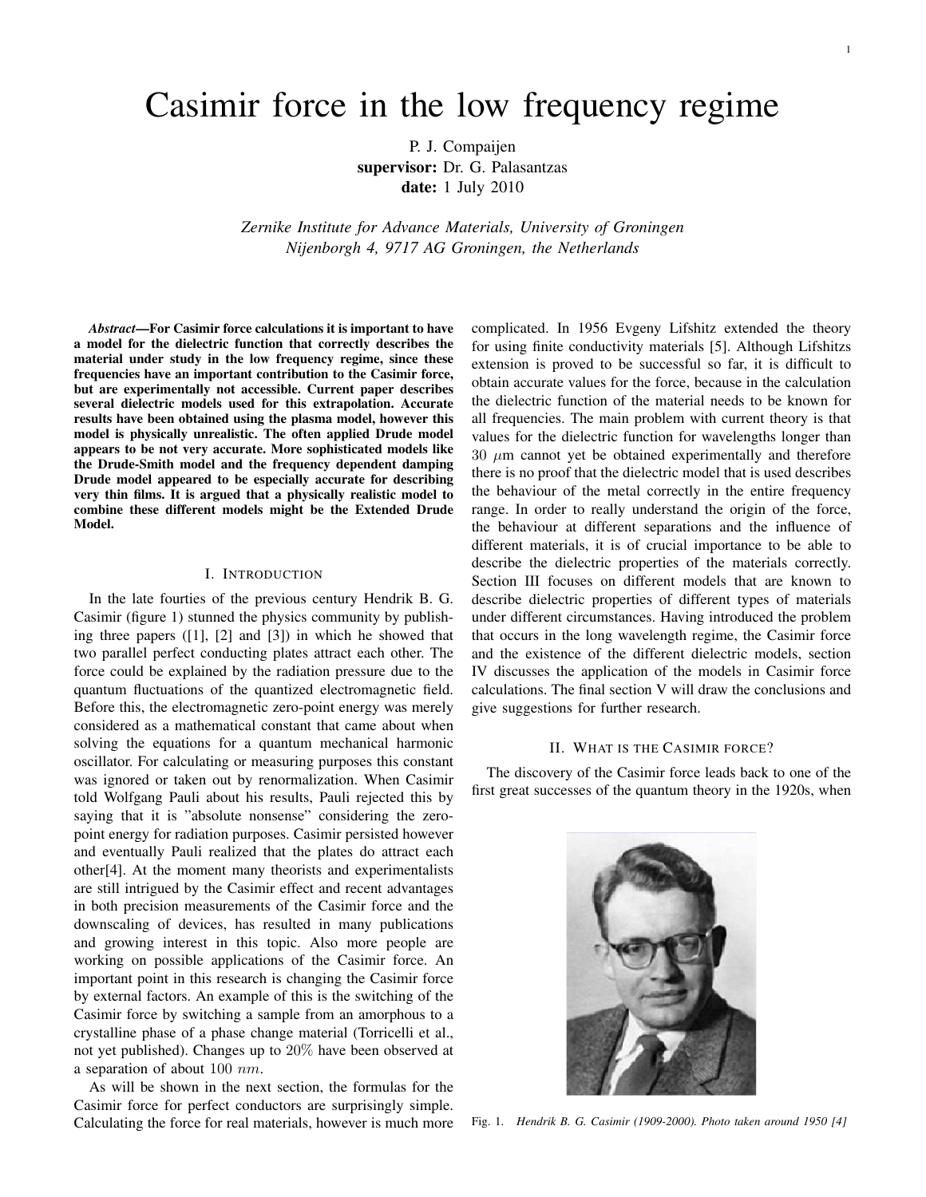# Casimir force in the low frequency regime

P. J. Compaijen supervisor: Dr. G. Palasantzas date: 1 July 2010

*Zernike Institute for Advance Materials, University of Groningen Nijenborgh 4, 9717 AG Groningen, the Netherlands*

*Abstract*—For Casimir force calculations it is important to have a model for the dielectric function that correctly describes the material under study in the low frequency regime, since these frequencies have an important contribution to the Casimir force, but are experimentally not accessible. Current paper describes several dielectric models used for this extrapolation. Accurate results have been obtained using the plasma model, however this model is physically unrealistic. The often applied Drude model appears to be not very accurate. More sophisticated models like the Drude-Smith model and the frequency dependent damping Drude model appeared to be especially accurate for describing very thin films. It is argued that a physically realistic model to combine these different models might be the Extended Drude Model.

# I. INTRODUCTION

In the late fourties of the previous century Hendrik B. G. Casimir (figure 1) stunned the physics community by publishing three papers ([1], [2] and [3]) in which he showed that two parallel perfect conducting plates attract each other. The force could be explained by the radiation pressure due to the quantum fluctuations of the quantized electromagnetic field. Before this, the electromagnetic zero-point energy was merely considered as a mathematical constant that came about when solving the equations for a quantum mechanical harmonic oscillator. For calculating or measuring purposes this constant was ignored or taken out by renormalization. When Casimir told Wolfgang Pauli about his results, Pauli rejected this by saying that it is "absolute nonsense" considering the zeropoint energy for radiation purposes. Casimir persisted however and eventually Pauli realized that the plates do attract each other[4]. At the moment many theorists and experimentalists are still intrigued by the Casimir effect and recent advantages in both precision measurements of the Casimir force and the downscaling of devices, has resulted in many publications and growing interest in this topic. Also more people are working on possible applications of the Casimir force. An important point in this research is changing the Casimir force by external factors. An example of this is the switching of the Casimir force by switching a sample from an amorphous to a crystalline phase of a phase change material (Torricelli et al., not yet published). Changes up to 20% have been observed at a separation of about 100 nm.

As will be shown in the next section, the formulas for the Casimir force for perfect conductors are surprisingly simple. Calculating the force for real materials, however is much more

complicated. In 1956 Evgeny Lifshitz extended the theory for using finite conductivity materials [5]. Although Lifshitzs extension is proved to be successful so far, it is difficult to obtain accurate values for the force, because in the calculation the dielectric function of the material needs to be known for all frequencies. The main problem with current theory is that values for the dielectric function for wavelengths longer than  $30 \mu m$  cannot yet be obtained experimentally and therefore there is no proof that the dielectric model that is used describes the behaviour of the metal correctly in the entire frequency range. In order to really understand the origin of the force, the behaviour at different separations and the influence of different materials, it is of crucial importance to be able to describe the dielectric properties of the materials correctly. Section III focuses on different models that are known to describe dielectric properties of different types of materials under different circumstances. Having introduced the problem that occurs in the long wavelength regime, the Casimir force and the existence of the different dielectric models, section IV discusses the application of the models in Casimir force calculations. The final section V will draw the conclusions and give suggestions for further research.

# II. WHAT IS THE CASIMIR FORCE?

The discovery of the Casimir force leads back to one of the first great successes of the quantum theory in the 1920s, when



Fig. 1. *Hendrik B. G. Casimir (1909-2000). Photo taken around 1950 [4]*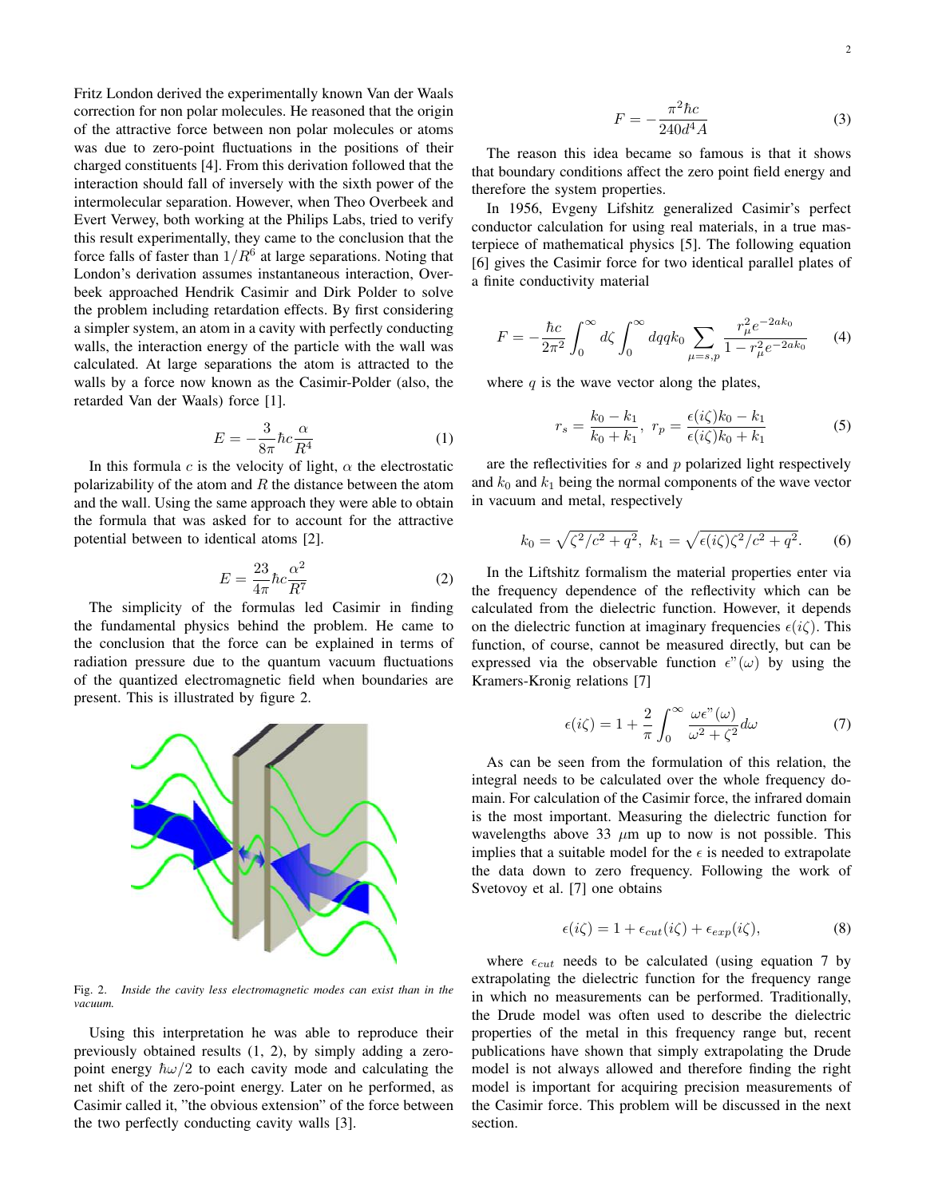Fritz London derived the experimentally known Van der Waals correction for non polar molecules. He reasoned that the origin of the attractive force between non polar molecules or atoms was due to zero-point fluctuations in the positions of their charged constituents [4]. From this derivation followed that the interaction should fall of inversely with the sixth power of the intermolecular separation. However, when Theo Overbeek and Evert Verwey, both working at the Philips Labs, tried to verify this result experimentally, they came to the conclusion that the force falls of faster than  $1/R^6$  at large separations. Noting that London's derivation assumes instantaneous interaction, Overbeek approached Hendrik Casimir and Dirk Polder to solve the problem including retardation effects. By first considering a simpler system, an atom in a cavity with perfectly conducting walls, the interaction energy of the particle with the wall was calculated. At large separations the atom is attracted to the walls by a force now known as the Casimir-Polder (also, the retarded Van der Waals) force [1].

$$
E = -\frac{3}{8\pi} \hbar c \frac{\alpha}{R^4} \tag{1}
$$

In this formula  $c$  is the velocity of light,  $\alpha$  the electrostatic polarizability of the atom and  $R$  the distance between the atom and the wall. Using the same approach they were able to obtain the formula that was asked for to account for the attractive potential between to identical atoms [2].

$$
E = \frac{23}{4\pi} \hbar c \frac{\alpha^2}{R^7}
$$
 (2)

The simplicity of the formulas led Casimir in finding the fundamental physics behind the problem. He came to the conclusion that the force can be explained in terms of radiation pressure due to the quantum vacuum fluctuations of the quantized electromagnetic field when boundaries are present. This is illustrated by figure 2.



Fig. 2. *Inside the cavity less electromagnetic modes can exist than in the vacuum.*

Using this interpretation he was able to reproduce their previously obtained results (1, 2), by simply adding a zeropoint energy  $\hbar \omega/2$  to each cavity mode and calculating the net shift of the zero-point energy. Later on he performed, as Casimir called it, "the obvious extension" of the force between the two perfectly conducting cavity walls [3].

$$
F = -\frac{\pi^2 \hbar c}{240d^4 A} \tag{3}
$$

The reason this idea became so famous is that it shows that boundary conditions affect the zero point field energy and therefore the system properties.

In 1956, Evgeny Lifshitz generalized Casimir's perfect conductor calculation for using real materials, in a true masterpiece of mathematical physics [5]. The following equation [6] gives the Casimir force for two identical parallel plates of a finite conductivity material

$$
F = -\frac{\hbar c}{2\pi^2} \int_0^\infty d\zeta \int_0^\infty dq q k_0 \sum_{\mu = s, p} \frac{r_\mu^2 e^{-2ak_0}}{1 - r_\mu^2 e^{-2ak_0}} \qquad (4)
$$

where  $q$  is the wave vector along the plates,

$$
r_s = \frac{k_0 - k_1}{k_0 + k_1}, \ r_p = \frac{\epsilon(i\zeta)k_0 - k_1}{\epsilon(i\zeta)k_0 + k_1}
$$
 (5)

are the reflectivities for  $s$  and  $p$  polarized light respectively and  $k_0$  and  $k_1$  being the normal components of the wave vector in vacuum and metal, respectively

$$
k_0 = \sqrt{\zeta^2/c^2 + q^2}
$$
,  $k_1 = \sqrt{\epsilon(i\zeta)\zeta^2/c^2 + q^2}$ . (6)

In the Liftshitz formalism the material properties enter via the frequency dependence of the reflectivity which can be calculated from the dielectric function. However, it depends on the dielectric function at imaginary frequencies  $\epsilon(i\zeta)$ . This function, of course, cannot be measured directly, but can be expressed via the observable function  $\epsilon''(\omega)$  by using the Kramers-Kronig relations [7]

$$
\epsilon(i\zeta) = 1 + \frac{2}{\pi} \int_0^\infty \frac{\omega \epsilon^n(\omega)}{\omega^2 + \zeta^2} d\omega \tag{7}
$$

As can be seen from the formulation of this relation, the integral needs to be calculated over the whole frequency domain. For calculation of the Casimir force, the infrared domain is the most important. Measuring the dielectric function for wavelengths above 33  $\mu$ m up to now is not possible. This implies that a suitable model for the  $\epsilon$  is needed to extrapolate the data down to zero frequency. Following the work of Svetovoy et al. [7] one obtains

$$
\epsilon(i\zeta) = 1 + \epsilon_{cut}(i\zeta) + \epsilon_{exp}(i\zeta),\tag{8}
$$

where  $\epsilon_{cut}$  needs to be calculated (using equation 7 by extrapolating the dielectric function for the frequency range in which no measurements can be performed. Traditionally, the Drude model was often used to describe the dielectric properties of the metal in this frequency range but, recent publications have shown that simply extrapolating the Drude model is not always allowed and therefore finding the right model is important for acquiring precision measurements of the Casimir force. This problem will be discussed in the next section.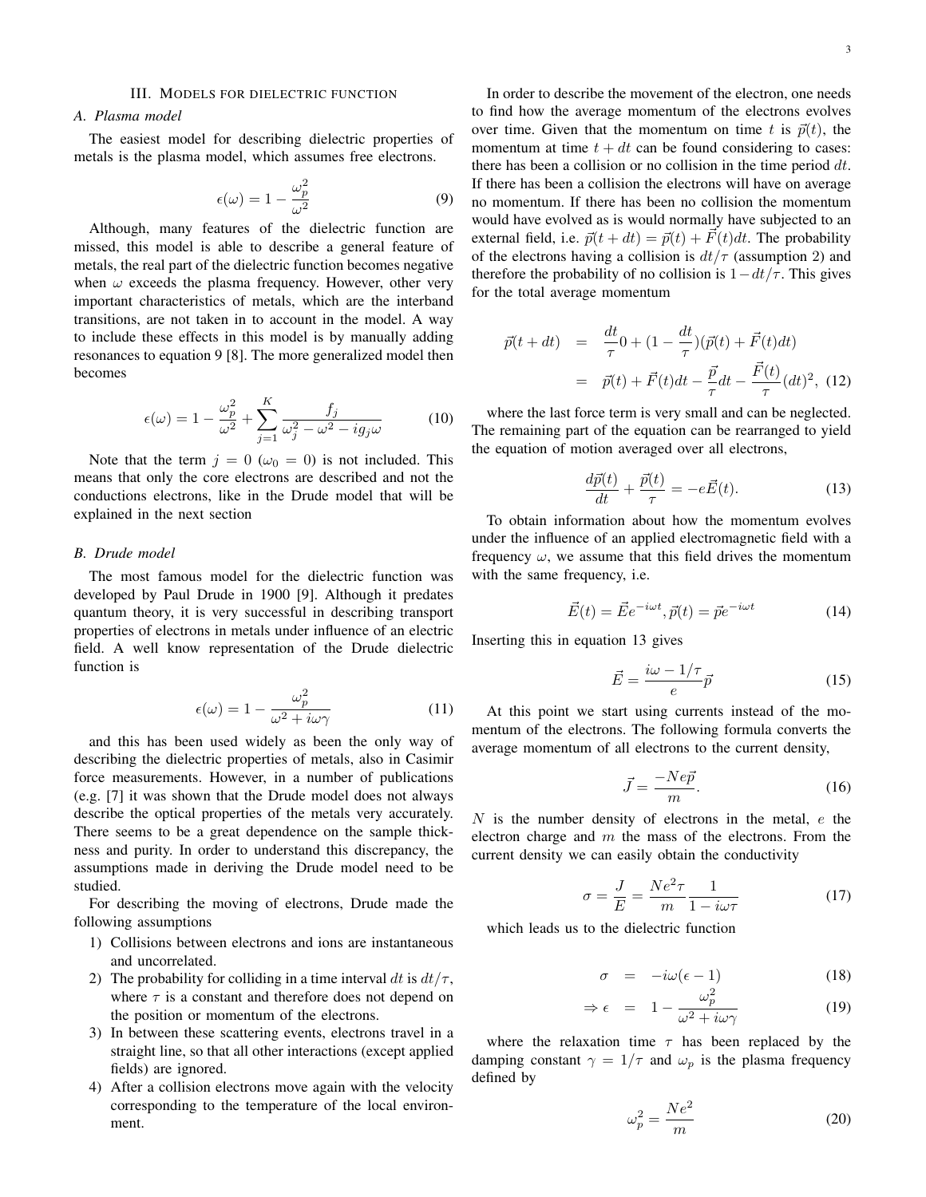# *A. Plasma model*

The easiest model for describing dielectric properties of metals is the plasma model, which assumes free electrons.

$$
\epsilon(\omega) = 1 - \frac{\omega_p^2}{\omega^2} \tag{9}
$$

Although, many features of the dielectric function are missed, this model is able to describe a general feature of metals, the real part of the dielectric function becomes negative when  $\omega$  exceeds the plasma frequency. However, other very important characteristics of metals, which are the interband transitions, are not taken in to account in the model. A way to include these effects in this model is by manually adding resonances to equation 9 [8]. The more generalized model then becomes

$$
\epsilon(\omega) = 1 - \frac{\omega_p^2}{\omega^2} + \sum_{j=1}^{K} \frac{f_j}{\omega_j^2 - \omega^2 - ig_j \omega} \tag{10}
$$

Note that the term  $j = 0$  ( $\omega_0 = 0$ ) is not included. This means that only the core electrons are described and not the conductions electrons, like in the Drude model that will be explained in the next section

## *B. Drude model*

The most famous model for the dielectric function was developed by Paul Drude in 1900 [9]. Although it predates quantum theory, it is very successful in describing transport properties of electrons in metals under influence of an electric field. A well know representation of the Drude dielectric function is

$$
\epsilon(\omega) = 1 - \frac{\omega_p^2}{\omega^2 + i\omega\gamma} \tag{11}
$$

and this has been used widely as been the only way of describing the dielectric properties of metals, also in Casimir force measurements. However, in a number of publications (e.g. [7] it was shown that the Drude model does not always describe the optical properties of the metals very accurately. There seems to be a great dependence on the sample thickness and purity. In order to understand this discrepancy, the assumptions made in deriving the Drude model need to be studied.

For describing the moving of electrons, Drude made the following assumptions

- 1) Collisions between electrons and ions are instantaneous and uncorrelated.
- 2) The probability for colliding in a time interval dt is  $dt/\tau$ , where  $\tau$  is a constant and therefore does not depend on the position or momentum of the electrons.
- 3) In between these scattering events, electrons travel in a straight line, so that all other interactions (except applied fields) are ignored.
- 4) After a collision electrons move again with the velocity corresponding to the temperature of the local environment.

In order to describe the movement of the electron, one needs to find how the average momentum of the electrons evolves over time. Given that the momentum on time t is  $\vec{p}(t)$ , the momentum at time  $t + dt$  can be found considering to cases: there has been a collision or no collision in the time period  $dt$ . If there has been a collision the electrons will have on average no momentum. If there has been no collision the momentum would have evolved as is would normally have subjected to an external field, i.e.  $\vec{p}(t + dt) = \vec{p}(t) + \vec{F}(t)dt$ . The probability of the electrons having a collision is  $dt/\tau$  (assumption 2) and therefore the probability of no collision is  $1 - dt/\tau$ . This gives for the total average momentum

$$
\vec{p}(t+dt) = \frac{dt}{\tau} 0 + (1 - \frac{dt}{\tau})(\vec{p}(t) + \vec{F}(t)dt)
$$

$$
= \vec{p}(t) + \vec{F}(t)dt - \frac{\vec{p}}{\tau}dt - \frac{\vec{F}(t)}{\tau}(dt)^2, (12)
$$

where the last force term is very small and can be neglected. The remaining part of the equation can be rearranged to yield the equation of motion averaged over all electrons,

$$
\frac{d\vec{p}(t)}{dt} + \frac{\vec{p}(t)}{\tau} = -e\vec{E}(t). \tag{13}
$$

To obtain information about how the momentum evolves under the influence of an applied electromagnetic field with a frequency  $\omega$ , we assume that this field drives the momentum with the same frequency, i.e.

$$
\vec{E}(t) = \vec{E}e^{-i\omega t}, \vec{p}(t) = \vec{p}e^{-i\omega t}
$$
 (14)

Inserting this in equation 13 gives

$$
\vec{E} = \frac{i\omega - 1/\tau}{e}\vec{p}
$$
 (15)

At this point we start using currents instead of the momentum of the electrons. The following formula converts the average momentum of all electrons to the current density,

$$
\vec{J} = \frac{-Ne\vec{p}}{m}.\tag{16}
$$

 $N$  is the number density of electrons in the metal,  $e$  the electron charge and  $m$  the mass of the electrons. From the current density we can easily obtain the conductivity

$$
\sigma = \frac{J}{E} = \frac{Ne^2 \tau}{m} \frac{1}{1 - i\omega \tau} \tag{17}
$$

which leads us to the dielectric function

$$
\sigma = -i\omega(\epsilon - 1) \tag{18}
$$

$$
\Rightarrow \epsilon = 1 - \frac{\omega_p^2}{\omega^2 + i\omega\gamma} \tag{19}
$$

where the relaxation time  $\tau$  has been replaced by the damping constant  $\gamma = 1/\tau$  and  $\omega_p$  is the plasma frequency defined by

$$
\omega_p^2 = \frac{Ne^2}{m} \tag{20}
$$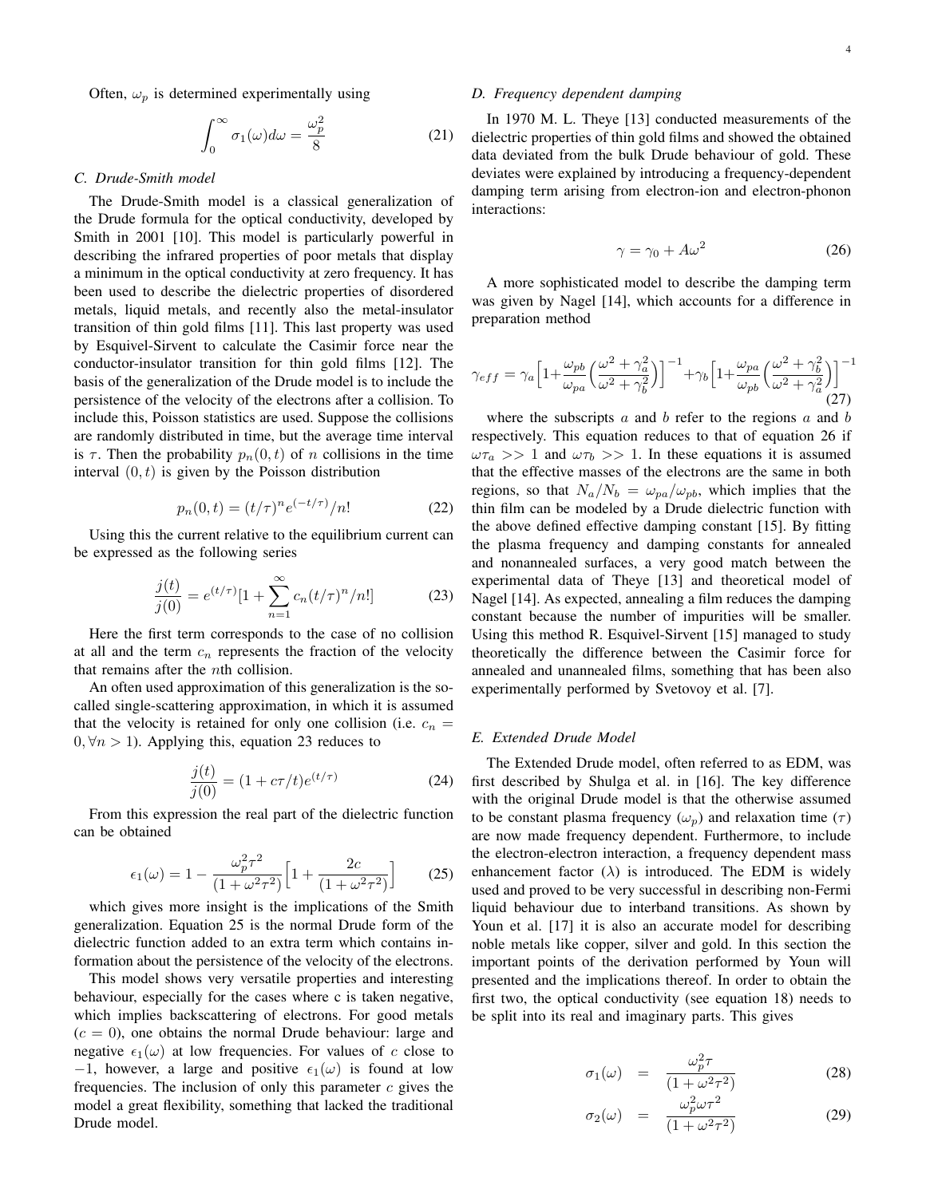Often,  $\omega_p$  is determined experimentally using

$$
\int_0^\infty \sigma_1(\omega)d\omega = \frac{\omega_p^2}{8} \tag{21}
$$

## *C. Drude-Smith model*

The Drude-Smith model is a classical generalization of the Drude formula for the optical conductivity, developed by Smith in 2001 [10]. This model is particularly powerful in describing the infrared properties of poor metals that display a minimum in the optical conductivity at zero frequency. It has been used to describe the dielectric properties of disordered metals, liquid metals, and recently also the metal-insulator transition of thin gold films [11]. This last property was used by Esquivel-Sirvent to calculate the Casimir force near the conductor-insulator transition for thin gold films [12]. The basis of the generalization of the Drude model is to include the persistence of the velocity of the electrons after a collision. To include this, Poisson statistics are used. Suppose the collisions are randomly distributed in time, but the average time interval is  $\tau$ . Then the probability  $p_n(0, t)$  of n collisions in the time interval  $(0, t)$  is given by the Poisson distribution

$$
p_n(0,t) = (t/\tau)^n e^{(-t/\tau)}/n! \tag{22}
$$

Using this the current relative to the equilibrium current can be expressed as the following series

$$
\frac{j(t)}{j(0)} = e^{(t/\tau)}[1 + \sum_{n=1}^{\infty} c_n (t/\tau)^n/n!]
$$
 (23)

Here the first term corresponds to the case of no collision at all and the term  $c_n$  represents the fraction of the velocity that remains after the nth collision.

An often used approximation of this generalization is the socalled single-scattering approximation, in which it is assumed that the velocity is retained for only one collision (i.e.  $c_n =$  $0, \forall n > 1$ ). Applying this, equation 23 reduces to

$$
\frac{j(t)}{j(0)} = (1 + c\tau/t)e^{(t/\tau)}
$$
\n(24)

From this expression the real part of the dielectric function can be obtained

$$
\epsilon_1(\omega) = 1 - \frac{\omega_p^2 \tau^2}{(1 + \omega^2 \tau^2)} \Big[ 1 + \frac{2c}{(1 + \omega^2 \tau^2)} \Big] \qquad (25)
$$

which gives more insight is the implications of the Smith generalization. Equation 25 is the normal Drude form of the dielectric function added to an extra term which contains information about the persistence of the velocity of the electrons.

This model shows very versatile properties and interesting behaviour, especially for the cases where c is taken negative, which implies backscattering of electrons. For good metals  $(c = 0)$ , one obtains the normal Drude behaviour: large and negative  $\epsilon_1(\omega)$  at low frequencies. For values of c close to −1, however, a large and positive  $\epsilon_1(\omega)$  is found at low frequencies. The inclusion of only this parameter  $c$  gives the model a great flexibility, something that lacked the traditional Drude model.

## *D. Frequency dependent damping*

In 1970 M. L. Theye [13] conducted measurements of the dielectric properties of thin gold films and showed the obtained data deviated from the bulk Drude behaviour of gold. These deviates were explained by introducing a frequency-dependent damping term arising from electron-ion and electron-phonon interactions:

$$
\gamma = \gamma_0 + A\omega^2 \tag{26}
$$

A more sophisticated model to describe the damping term was given by Nagel [14], which accounts for a difference in preparation method

$$
\gamma_{eff} = \gamma_a \left[ 1 + \frac{\omega_{pb}}{\omega_{pa}} \left( \frac{\omega^2 + \gamma_a^2}{\omega^2 + \gamma_b^2} \right) \right]^{-1} + \gamma_b \left[ 1 + \frac{\omega_{pa}}{\omega_{pb}} \left( \frac{\omega^2 + \gamma_b^2}{\omega^2 + \gamma_a^2} \right) \right]^{-1}
$$
\n(27)

where the subscripts  $a$  and  $b$  refer to the regions  $a$  and  $b$ respectively. This equation reduces to that of equation 26 if  $\omega \tau_a >> 1$  and  $\omega \tau_b >> 1$ . In these equations it is assumed that the effective masses of the electrons are the same in both regions, so that  $N_a/N_b = \omega_{pa}/\omega_{pb}$ , which implies that the thin film can be modeled by a Drude dielectric function with the above defined effective damping constant [15]. By fitting the plasma frequency and damping constants for annealed and nonannealed surfaces, a very good match between the experimental data of Theye [13] and theoretical model of Nagel [14]. As expected, annealing a film reduces the damping constant because the number of impurities will be smaller. Using this method R. Esquivel-Sirvent [15] managed to study theoretically the difference between the Casimir force for annealed and unannealed films, something that has been also experimentally performed by Svetovoy et al. [7].

# *E. Extended Drude Model*

The Extended Drude model, often referred to as EDM, was first described by Shulga et al. in [16]. The key difference with the original Drude model is that the otherwise assumed to be constant plasma frequency  $(\omega_n)$  and relaxation time  $(\tau)$ are now made frequency dependent. Furthermore, to include the electron-electron interaction, a frequency dependent mass enhancement factor  $(\lambda)$  is introduced. The EDM is widely used and proved to be very successful in describing non-Fermi liquid behaviour due to interband transitions. As shown by Youn et al. [17] it is also an accurate model for describing noble metals like copper, silver and gold. In this section the important points of the derivation performed by Youn will presented and the implications thereof. In order to obtain the first two, the optical conductivity (see equation 18) needs to be split into its real and imaginary parts. This gives

$$
\sigma_1(\omega) = \frac{\omega_p^2 \tau}{(1 + \omega^2 \tau^2)}
$$
\n(28)

$$
\sigma_2(\omega) = \frac{\omega_p^2 \omega \tau^2}{(1 + \omega^2 \tau^2)}
$$
\n(29)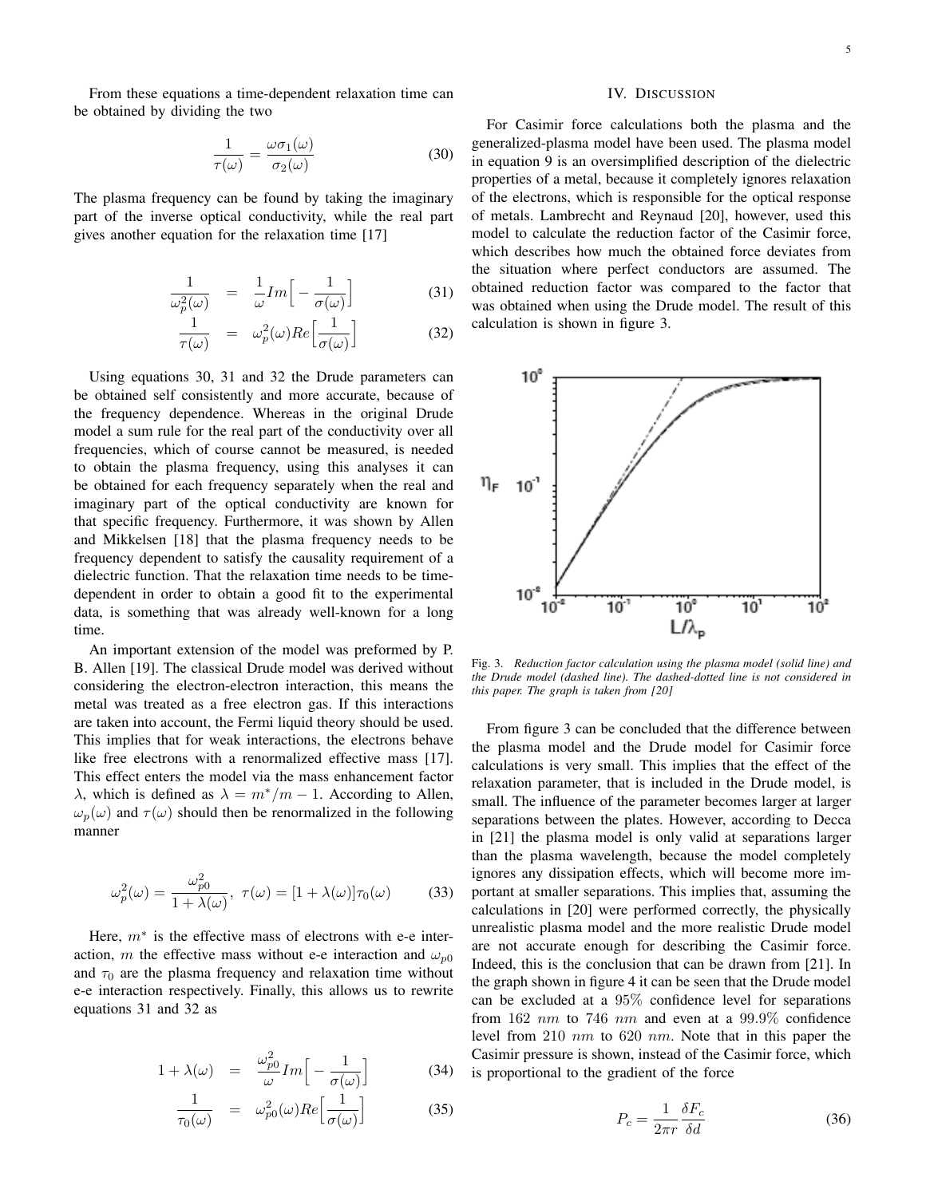From these equations a time-dependent relaxation time can be obtained by dividing the two

$$
\frac{1}{\tau(\omega)} = \frac{\omega \sigma_1(\omega)}{\sigma_2(\omega)}\tag{30}
$$

The plasma frequency can be found by taking the imaginary part of the inverse optical conductivity, while the real part gives another equation for the relaxation time [17]

$$
\frac{1}{\omega_p^2(\omega)} = \frac{1}{\omega} Im \Big[ -\frac{1}{\sigma(\omega)} \Big] \tag{31}
$$

$$
\frac{1}{\tau(\omega)} = \omega_p^2(\omega) Re\left[\frac{1}{\sigma(\omega)}\right]
$$
 (32)

Using equations 30, 31 and 32 the Drude parameters can be obtained self consistently and more accurate, because of the frequency dependence. Whereas in the original Drude model a sum rule for the real part of the conductivity over all frequencies, which of course cannot be measured, is needed to obtain the plasma frequency, using this analyses it can be obtained for each frequency separately when the real and imaginary part of the optical conductivity are known for that specific frequency. Furthermore, it was shown by Allen and Mikkelsen [18] that the plasma frequency needs to be frequency dependent to satisfy the causality requirement of a dielectric function. That the relaxation time needs to be timedependent in order to obtain a good fit to the experimental data, is something that was already well-known for a long time.

An important extension of the model was preformed by P. B. Allen [19]. The classical Drude model was derived without considering the electron-electron interaction, this means the metal was treated as a free electron gas. If this interactions are taken into account, the Fermi liquid theory should be used. This implies that for weak interactions, the electrons behave like free electrons with a renormalized effective mass [17]. This effect enters the model via the mass enhancement factor λ, which is defined as  $\lambda = m^*/m - 1$ . According to Allen,  $\omega_p(\omega)$  and  $\tau(\omega)$  should then be renormalized in the following manner

$$
\omega_p^2(\omega) = \frac{\omega_{p0}^2}{1 + \lambda(\omega)}, \ \tau(\omega) = [1 + \lambda(\omega)]\tau_0(\omega) \tag{33}
$$

Here,  $m^*$  is the effective mass of electrons with e-e interaction, m the effective mass without e-e interaction and  $\omega_{p0}$ and  $\tau_0$  are the plasma frequency and relaxation time without e-e interaction respectively. Finally, this allows us to rewrite equations 31 and 32 as

$$
1 + \lambda(\omega) = \frac{\omega_{p0}^2}{\omega} Im \left[ -\frac{1}{\sigma(\omega)} \right] \tag{34}
$$

$$
\frac{1}{\tau_0(\omega)} = \omega_{p0}^2(\omega) Re\left[\frac{1}{\sigma(\omega)}\right]
$$
 (35)

#### IV. DISCUSSION

For Casimir force calculations both the plasma and the generalized-plasma model have been used. The plasma model in equation 9 is an oversimplified description of the dielectric properties of a metal, because it completely ignores relaxation of the electrons, which is responsible for the optical response of metals. Lambrecht and Reynaud [20], however, used this model to calculate the reduction factor of the Casimir force, which describes how much the obtained force deviates from the situation where perfect conductors are assumed. The obtained reduction factor was compared to the factor that was obtained when using the Drude model. The result of this calculation is shown in figure 3.



Fig. 3. *Reduction factor calculation using the plasma model (solid line) and the Drude model (dashed line). The dashed-dotted line is not considered in this paper. The graph is taken from [20]*

From figure 3 can be concluded that the difference between the plasma model and the Drude model for Casimir force calculations is very small. This implies that the effect of the relaxation parameter, that is included in the Drude model, is small. The influence of the parameter becomes larger at larger separations between the plates. However, according to Decca in [21] the plasma model is only valid at separations larger than the plasma wavelength, because the model completely ignores any dissipation effects, which will become more important at smaller separations. This implies that, assuming the calculations in [20] were performed correctly, the physically unrealistic plasma model and the more realistic Drude model are not accurate enough for describing the Casimir force. Indeed, this is the conclusion that can be drawn from [21]. In the graph shown in figure 4 it can be seen that the Drude model can be excluded at a 95% confidence level for separations from 162 nm to 746 nm and even at a  $99.9\%$  confidence level from 210 nm to 620 nm. Note that in this paper the Casimir pressure is shown, instead of the Casimir force, which is proportional to the gradient of the force

$$
P_c = \frac{1}{2\pi r} \frac{\delta F_c}{\delta d} \tag{36}
$$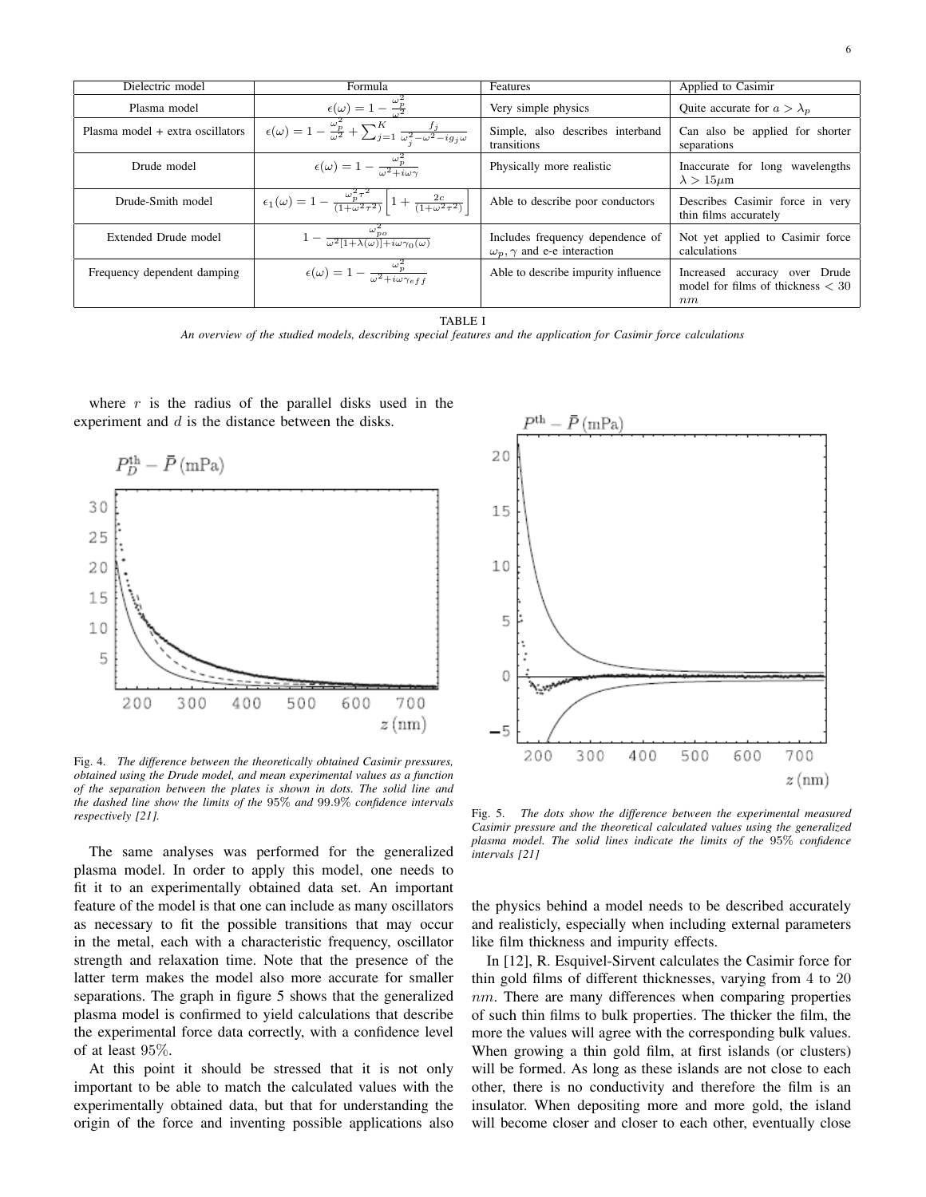| Dielectric model                 | Formula                                                                                                                        | Features                                                                   | Applied to Casimir                                                         |
|----------------------------------|--------------------------------------------------------------------------------------------------------------------------------|----------------------------------------------------------------------------|----------------------------------------------------------------------------|
| Plasma model                     | $\epsilon(\omega) = 1 - \frac{\omega_p^2}{\omega^2}$                                                                           | Very simple physics                                                        | Quite accurate for $a > \lambda_p$                                         |
| Plasma model + extra oscillators | $\overline{\epsilon(\omega)} = 1 - \frac{\omega_p^2}{\omega^2} + \sum_{j=1}^K \frac{f_j}{\omega_j^2 - \omega^2 - ig_j \omega}$ | Simple, also describes interband<br>transitions                            | Can also be applied for shorter<br>separations                             |
| Drude model                      | $\epsilon(\omega) = 1 - \frac{\omega_p^2}{\omega^2 + i \omega \gamma}$                                                         | Physically more realistic                                                  | Inaccurate for long wavelengths<br>$\lambda > 15 \mu m$                    |
| Drude-Smith model                | $\epsilon_1(\omega) = 1 - \frac{\omega_p^2 \tau^2}{(1 + \omega^2 \tau^2)} \left[ 1 + \frac{2c}{(1 + \omega^2 \tau^2)} \right]$ | Able to describe poor conductors                                           | Describes Casimir force in very<br>thin films accurately                   |
| Extended Drude model             | $1-\frac{\omega_{po}^2}{\omega^2[1+\lambda(\omega)]+i\omega\gamma_0(\omega)}$                                                  | Includes frequency dependence of<br>$\omega_n, \gamma$ and e-e interaction | Not yet applied to Casimir force<br>calculations                           |
| Frequency dependent damping      | $\epsilon(\omega) = 1 - \frac{\omega_p^2}{\omega^2 + i\omega\gamma_{eff}}$                                                     | Able to describe impurity influence                                        | Increased accuracy over Drude<br>model for films of thickness $<$ 30<br>nm |

TABLE I

*An overview of the studied models, describing special features and the application for Casimir force calculations*

where  $r$  is the radius of the parallel disks used in the experiment and  $d$  is the distance between the disks.



Fig. 4. *The difference between the theoretically obtained Casimir pressures, obtained using the Drude model, and mean experimental values as a function of the separation between the plates is shown in dots. The solid line and the dashed line show the limits of the* 95% *and* 99.9% *confidence intervals respectively [21].*

The same analyses was performed for the generalized plasma model. In order to apply this model, one needs to fit it to an experimentally obtained data set. An important feature of the model is that one can include as many oscillators as necessary to fit the possible transitions that may occur in the metal, each with a characteristic frequency, oscillator strength and relaxation time. Note that the presence of the latter term makes the model also more accurate for smaller separations. The graph in figure 5 shows that the generalized plasma model is confirmed to yield calculations that describe the experimental force data correctly, with a confidence level of at least 95%.

At this point it should be stressed that it is not only important to be able to match the calculated values with the experimentally obtained data, but that for understanding the origin of the force and inventing possible applications also



Fig. 5. *The dots show the difference between the experimental measured Casimir pressure and the theoretical calculated values using the generalized plasma model. The solid lines indicate the limits of the* 95% *confidence intervals [21]*

the physics behind a model needs to be described accurately and realisticly, especially when including external parameters like film thickness and impurity effects.

In [12], R. Esquivel-Sirvent calculates the Casimir force for thin gold films of different thicknesses, varying from 4 to 20  $nm$ . There are many differences when comparing properties of such thin films to bulk properties. The thicker the film, the more the values will agree with the corresponding bulk values. When growing a thin gold film, at first islands (or clusters) will be formed. As long as these islands are not close to each other, there is no conductivity and therefore the film is an insulator. When depositing more and more gold, the island will become closer and closer to each other, eventually close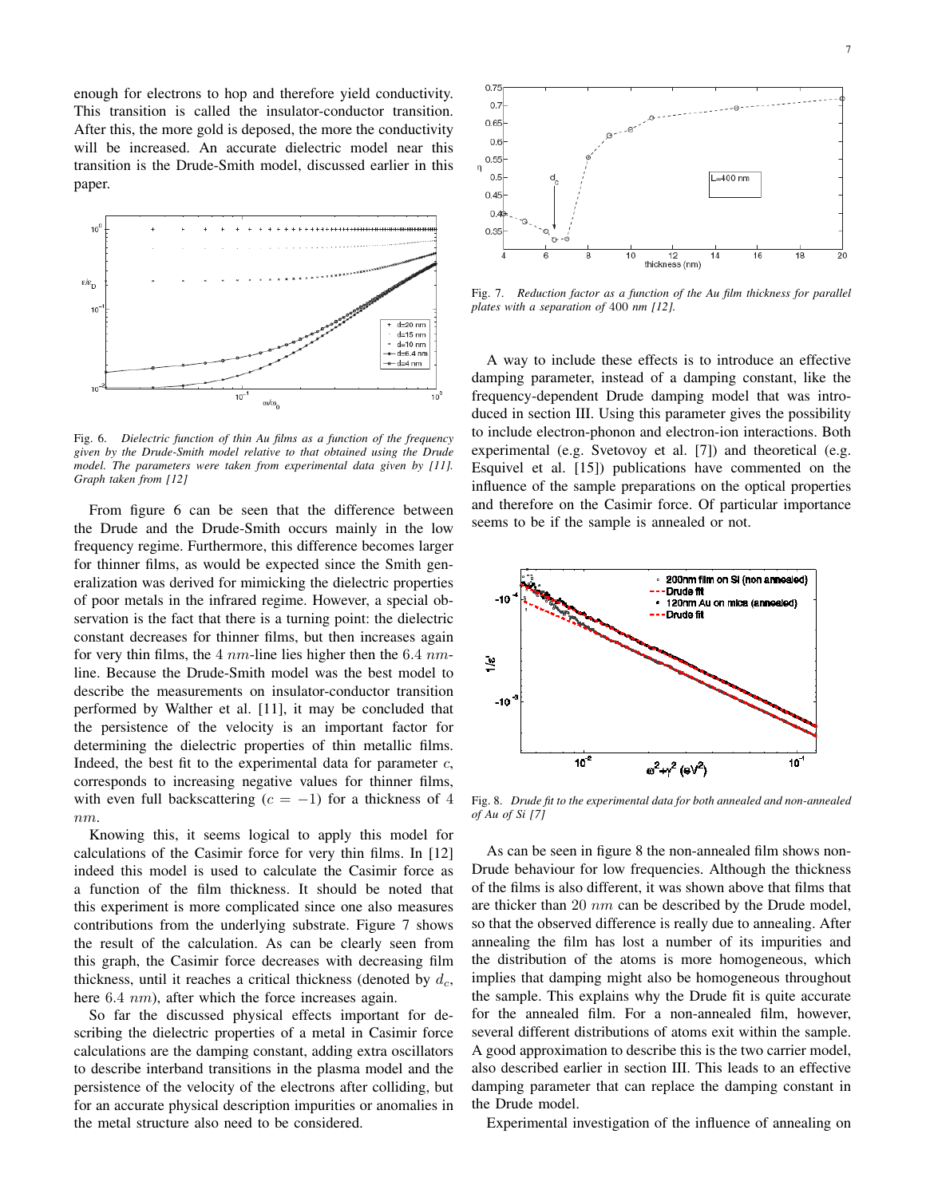enough for electrons to hop and therefore yield conductivity. This transition is called the insulator-conductor transition. After this, the more gold is deposed, the more the conductivity will be increased. An accurate dielectric model near this transition is the Drude-Smith model, discussed earlier in this paper.



Fig. 6. *Dielectric function of thin Au films as a function of the frequency given by the Drude-Smith model relative to that obtained using the Drude model. The parameters were taken from experimental data given by [11]. Graph taken from [12]*

From figure 6 can be seen that the difference between the Drude and the Drude-Smith occurs mainly in the low frequency regime. Furthermore, this difference becomes larger for thinner films, as would be expected since the Smith generalization was derived for mimicking the dielectric properties of poor metals in the infrared regime. However, a special observation is the fact that there is a turning point: the dielectric constant decreases for thinner films, but then increases again for very thin films, the  $4 \, nm$ -line lies higher then the  $6.4 \, nm$ line. Because the Drude-Smith model was the best model to describe the measurements on insulator-conductor transition performed by Walther et al. [11], it may be concluded that the persistence of the velocity is an important factor for determining the dielectric properties of thin metallic films. Indeed, the best fit to the experimental data for parameter  $c$ , corresponds to increasing negative values for thinner films, with even full backscattering  $(c = -1)$  for a thickness of 4 nm.

Knowing this, it seems logical to apply this model for calculations of the Casimir force for very thin films. In [12] indeed this model is used to calculate the Casimir force as a function of the film thickness. It should be noted that this experiment is more complicated since one also measures contributions from the underlying substrate. Figure 7 shows the result of the calculation. As can be clearly seen from this graph, the Casimir force decreases with decreasing film thickness, until it reaches a critical thickness (denoted by  $d_c$ , here 6.4 nm), after which the force increases again.

So far the discussed physical effects important for describing the dielectric properties of a metal in Casimir force calculations are the damping constant, adding extra oscillators to describe interband transitions in the plasma model and the persistence of the velocity of the electrons after colliding, but for an accurate physical description impurities or anomalies in the metal structure also need to be considered.



Fig. 7. *Reduction factor as a function of the Au film thickness for parallel plates with a separation of* 400 *nm [12].*

A way to include these effects is to introduce an effective damping parameter, instead of a damping constant, like the frequency-dependent Drude damping model that was introduced in section III. Using this parameter gives the possibility to include electron-phonon and electron-ion interactions. Both experimental (e.g. Svetovoy et al. [7]) and theoretical (e.g. Esquivel et al. [15]) publications have commented on the influence of the sample preparations on the optical properties and therefore on the Casimir force. Of particular importance seems to be if the sample is annealed or not.



Fig. 8. *Drude fit to the experimental data for both annealed and non-annealed of Au of Si [7]*

As can be seen in figure 8 the non-annealed film shows non-Drude behaviour for low frequencies. Although the thickness of the films is also different, it was shown above that films that are thicker than 20  $nm$  can be described by the Drude model, so that the observed difference is really due to annealing. After annealing the film has lost a number of its impurities and the distribution of the atoms is more homogeneous, which implies that damping might also be homogeneous throughout the sample. This explains why the Drude fit is quite accurate for the annealed film. For a non-annealed film, however, several different distributions of atoms exit within the sample. A good approximation to describe this is the two carrier model, also described earlier in section III. This leads to an effective damping parameter that can replace the damping constant in the Drude model.

Experimental investigation of the influence of annealing on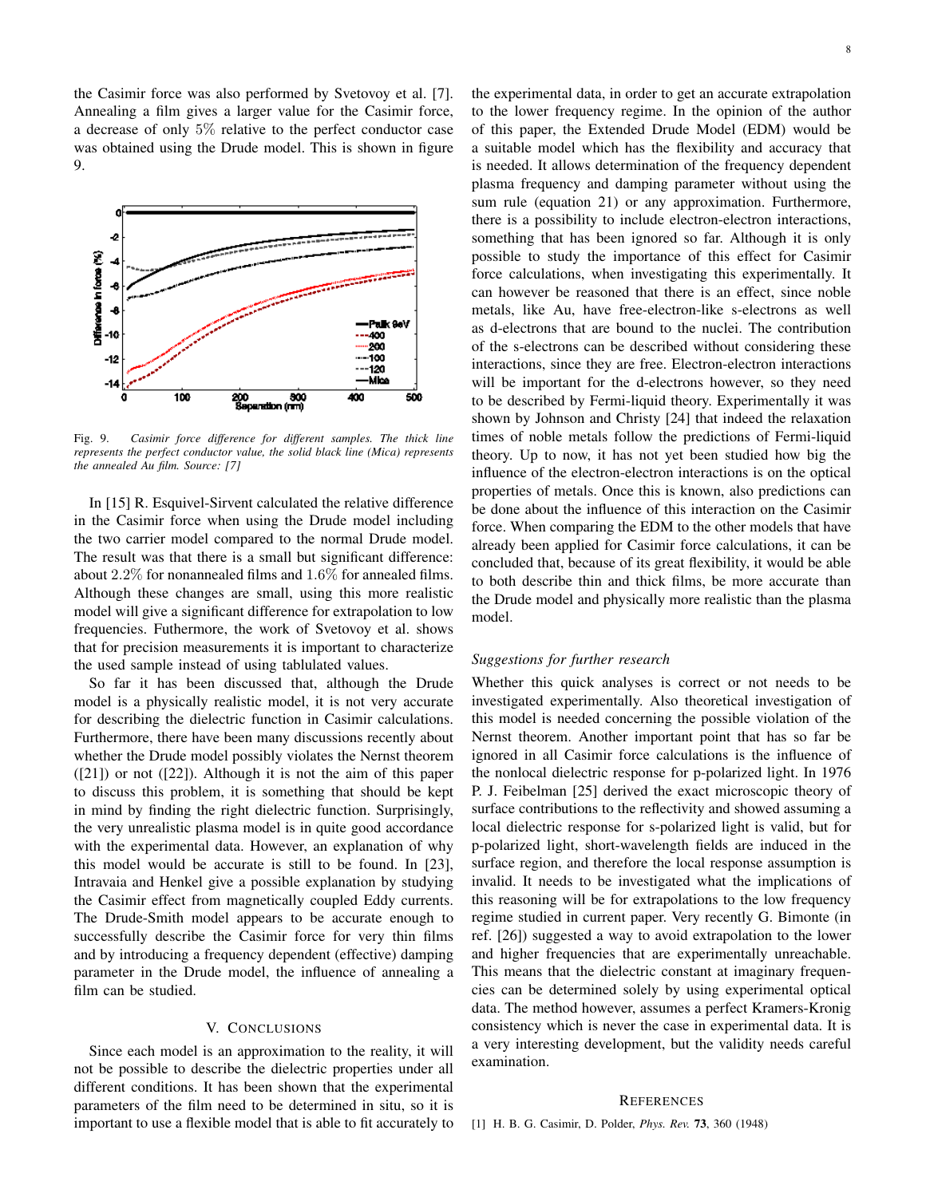the Casimir force was also performed by Svetovoy et al. [7]. Annealing a film gives a larger value for the Casimir force, a decrease of only 5% relative to the perfect conductor case was obtained using the Drude model. This is shown in figure 9.



Fig. 9. *Casimir force difference for different samples. The thick line represents the perfect conductor value, the solid black line (Mica) represents the annealed Au film. Source: [7]*

In [15] R. Esquivel-Sirvent calculated the relative difference in the Casimir force when using the Drude model including the two carrier model compared to the normal Drude model. The result was that there is a small but significant difference: about 2.2% for nonannealed films and 1.6% for annealed films. Although these changes are small, using this more realistic model will give a significant difference for extrapolation to low frequencies. Futhermore, the work of Svetovoy et al. shows that for precision measurements it is important to characterize the used sample instead of using tablulated values.

So far it has been discussed that, although the Drude model is a physically realistic model, it is not very accurate for describing the dielectric function in Casimir calculations. Furthermore, there have been many discussions recently about whether the Drude model possibly violates the Nernst theorem ([21]) or not ([22]). Although it is not the aim of this paper to discuss this problem, it is something that should be kept in mind by finding the right dielectric function. Surprisingly, the very unrealistic plasma model is in quite good accordance with the experimental data. However, an explanation of why this model would be accurate is still to be found. In [23], Intravaia and Henkel give a possible explanation by studying the Casimir effect from magnetically coupled Eddy currents. The Drude-Smith model appears to be accurate enough to successfully describe the Casimir force for very thin films and by introducing a frequency dependent (effective) damping parameter in the Drude model, the influence of annealing a film can be studied.

## V. CONCLUSIONS

Since each model is an approximation to the reality, it will not be possible to describe the dielectric properties under all different conditions. It has been shown that the experimental parameters of the film need to be determined in situ, so it is important to use a flexible model that is able to fit accurately to the experimental data, in order to get an accurate extrapolation to the lower frequency regime. In the opinion of the author of this paper, the Extended Drude Model (EDM) would be a suitable model which has the flexibility and accuracy that is needed. It allows determination of the frequency dependent plasma frequency and damping parameter without using the sum rule (equation 21) or any approximation. Furthermore, there is a possibility to include electron-electron interactions, something that has been ignored so far. Although it is only possible to study the importance of this effect for Casimir force calculations, when investigating this experimentally. It can however be reasoned that there is an effect, since noble metals, like Au, have free-electron-like s-electrons as well as d-electrons that are bound to the nuclei. The contribution of the s-electrons can be described without considering these interactions, since they are free. Electron-electron interactions will be important for the d-electrons however, so they need to be described by Fermi-liquid theory. Experimentally it was shown by Johnson and Christy [24] that indeed the relaxation times of noble metals follow the predictions of Fermi-liquid theory. Up to now, it has not yet been studied how big the influence of the electron-electron interactions is on the optical properties of metals. Once this is known, also predictions can be done about the influence of this interaction on the Casimir force. When comparing the EDM to the other models that have already been applied for Casimir force calculations, it can be concluded that, because of its great flexibility, it would be able to both describe thin and thick films, be more accurate than the Drude model and physically more realistic than the plasma model.

## *Suggestions for further research*

Whether this quick analyses is correct or not needs to be investigated experimentally. Also theoretical investigation of this model is needed concerning the possible violation of the Nernst theorem. Another important point that has so far be ignored in all Casimir force calculations is the influence of the nonlocal dielectric response for p-polarized light. In 1976 P. J. Feibelman [25] derived the exact microscopic theory of surface contributions to the reflectivity and showed assuming a local dielectric response for s-polarized light is valid, but for p-polarized light, short-wavelength fields are induced in the surface region, and therefore the local response assumption is invalid. It needs to be investigated what the implications of this reasoning will be for extrapolations to the low frequency regime studied in current paper. Very recently G. Bimonte (in ref. [26]) suggested a way to avoid extrapolation to the lower and higher frequencies that are experimentally unreachable. This means that the dielectric constant at imaginary frequencies can be determined solely by using experimental optical data. The method however, assumes a perfect Kramers-Kronig consistency which is never the case in experimental data. It is a very interesting development, but the validity needs careful examination.

#### **REFERENCES**

[1] H. B. G. Casimir, D. Polder, *Phys. Rev.* 73, 360 (1948)